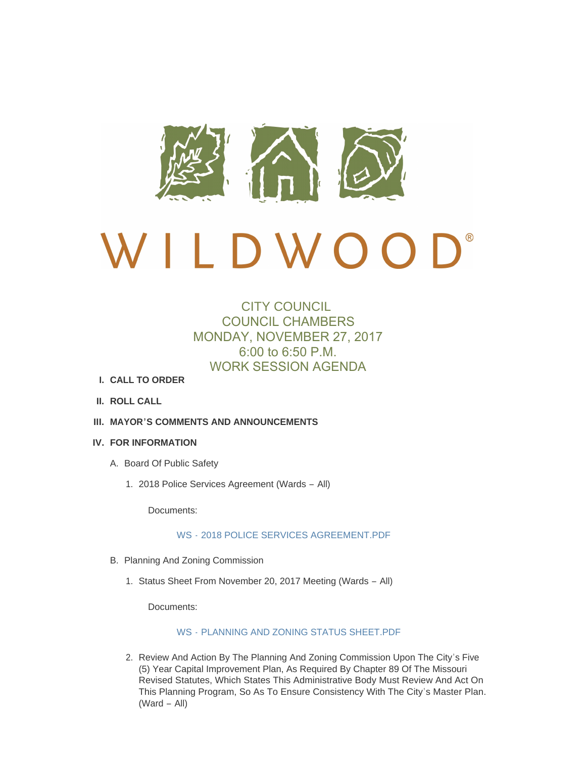

# BOOK  $D W O$  $\overline{a}$

# CITY COUNCIL COUNCIL CHAMBERS MONDAY, NOVEMBER 27, 2017 6:00 to 6:50 P.M. WORK SESSION AGENDA

- **CALL TO ORDER I.**
- **ROLL CALL II.**
- **MAYOR'S COMMENTS AND ANNOUNCEMENTS III.**
- **FOR INFORMATION IV.**
	- A. Board Of Public Safety
		- 2018 Police Services Agreement (Wards All) 1.

Documents:

#### WS - [2018 POLICE SERVICES AGREEMENT.PDF](http://mo-wildwood.civicplus.com/AgendaCenter/ViewFile/Item/13159?fileID=19014)

- B. Planning And Zoning Commission
	- 1. Status Sheet From November 20, 2017 Meeting (Wards All)

Documents:

#### WS - [PLANNING AND ZONING STATUS SHEET.PDF](http://mo-wildwood.civicplus.com/AgendaCenter/ViewFile/Item/13161?fileID=19015)

2. Review And Action By The Planning And Zoning Commission Upon The City's Five (5) Year Capital Improvement Plan, As Required By Chapter 89 Of The Missouri Revised Statutes, Which States This Administrative Body Must Review And Act On This Planning Program, So As To Ensure Consistency With The City's Master Plan. (Ward – All)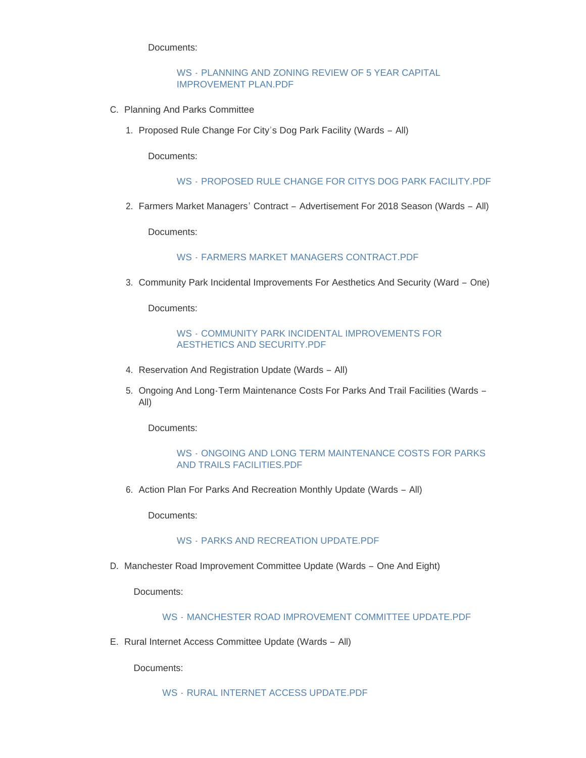Documents:

#### WS - [PLANNING AND ZONING REVIEW OF 5 YEAR CAPITAL](http://mo-wildwood.civicplus.com/AgendaCenter/ViewFile/Item/13162?fileID=19016)  IMPROVEMENT PLAN.PDF

- C. Planning And Parks Committee
	- 1. Proposed Rule Change For City's Dog Park Facility (Wards All)

Documents:

#### WS - [PROPOSED RULE CHANGE FOR CITYS DOG PARK FACILITY.PDF](http://mo-wildwood.civicplus.com/AgendaCenter/ViewFile/Item/13164?fileID=19023)

2. Farmers Market Managers' Contract - Advertisement For 2018 Season (Wards - All)

Documents:

WS - [FARMERS MARKET MANAGERS CONTRACT.PDF](http://mo-wildwood.civicplus.com/AgendaCenter/ViewFile/Item/13165?fileID=19017)

3. Community Park Incidental Improvements For Aesthetics And Security (Ward - One)

Documents:

#### WS - [COMMUNITY PARK INCIDENTAL IMPROVEMENTS FOR](http://mo-wildwood.civicplus.com/AgendaCenter/ViewFile/Item/13166?fileID=19018)  AESTHETICS AND SECURITY.PDF

- 4. Reservation And Registration Update (Wards All)
- 5. Ongoing And Long-Term Maintenance Costs For Parks And Trail Facilities (Wards -All)

Documents:

#### WS - [ONGOING AND LONG TERM MAINTENANCE COSTS FOR PARKS](http://mo-wildwood.civicplus.com/AgendaCenter/ViewFile/Item/13168?fileID=19019)  AND TRAILS FACILITIES.PDF

6. Action Plan For Parks And Recreation Monthly Update (Wards - All)

Documents:

#### WS - [PARKS AND RECREATION UPDATE.PDF](http://mo-wildwood.civicplus.com/AgendaCenter/ViewFile/Item/13169?fileID=19020)

D. Manchester Road Improvement Committee Update (Wards - One And Eight)

Documents:

#### WS - [MANCHESTER ROAD IMPROVEMENT COMMITTEE UPDATE.PDF](http://mo-wildwood.civicplus.com/AgendaCenter/ViewFile/Item/13170?fileID=19021)

E. Rural Internet Access Committee Update (Wards - All)

Documents: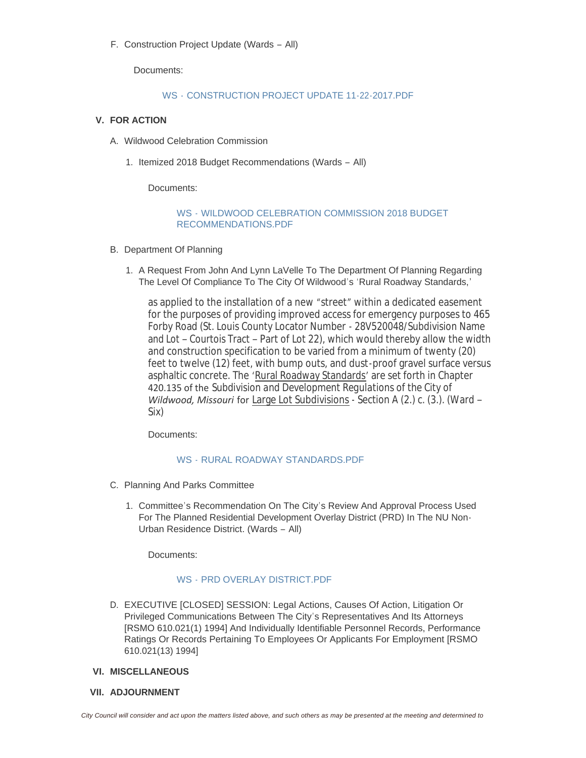F. Construction Project Update (Wards - All)

Documents:

## WS - [CONSTRUCTION PROJECT UPDATE 11-22-2017.PDF](http://mo-wildwood.civicplus.com/AgendaCenter/ViewFile/Item/13172?fileID=19024)

## **FOR ACTION V.**

- A. Wildwood Celebration Commission
	- 1. Itemized 2018 Budget Recommendations (Wards All)

Documents:

#### WS - [WILDWOOD CELEBRATION COMMISSION 2018 BUDGET](http://mo-wildwood.civicplus.com/AgendaCenter/ViewFile/Item/13175?fileID=19025)  RECOMMENDATIONS.PDF

- B. Department Of Planning
	- 1. A Request From John And Lynn LaVelle To The Department Of Planning Regarding The Level Of Compliance To The City Of Wildwood's 'Rural Roadway Standards,'

as applied to the installation of a new "street" within a dedicated easement for the purposes of providing improved access for emergency purposes to 465 Forby Road (St. Louis County Locator Number - 28V520048/Subdivision Name and Lot – Courtois Tract – Part of Lot 22), which would thereby allow the width and construction specification to be varied from a minimum of twenty (20) feet to twelve (12) feet, with bump outs, and dust-proof gravel surface versus asphaltic concrete. The 'Rural Roadway Standards' are set forth in Chapter 420.135 of the *Subdivision and Development Regulations of the City of Wildwood, Missouri* for Large Lot Subdivisions - Section A (2.) c. (3.). (Ward – Six)

Documents:

#### WS - [RURAL ROADWAY STANDARDS.PDF](http://mo-wildwood.civicplus.com/AgendaCenter/ViewFile/Item/13177?fileID=19027)

- C. Planning And Parks Committee
	- 1. Committee's Recommendation On The City's Review And Approval Process Used For The Planned Residential Development Overlay District (PRD) In The NU Non-Urban Residence District. (Wards – All)

Documents:

#### WS - PRD OVERLAY DISTRICT PDF

D. EXECUTIVE [CLOSED] SESSION: Legal Actions, Causes Of Action, Litigation Or Privileged Communications Between The City's Representatives And Its Attorneys [RSMO 610.021(1) 1994] And Individually Identifiable Personnel Records, Performance Ratings Or Records Pertaining To Employees Or Applicants For Employment [RSMO 610.021(13) 1994]

#### **MISCELLANEOUS VI.**

**ADJOURNMENT VII.**